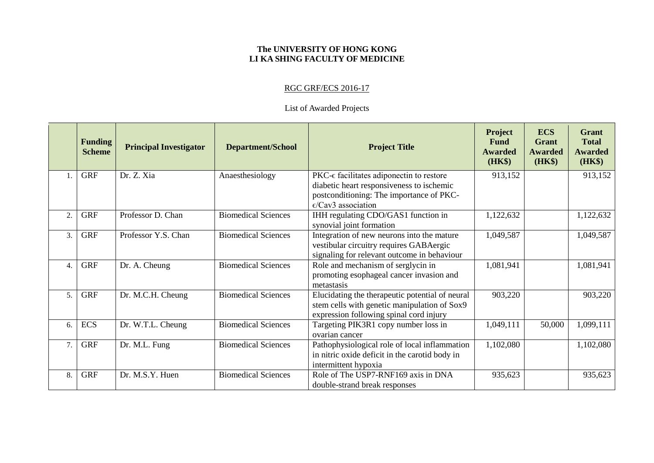## **The UNIVERSITY OF HONG KONG LI KA SHING FACULTY OF MEDICINE**

## RGC GRF/ECS 2016-17

## List of Awarded Projects

|                  | <b>Funding</b><br><b>Scheme</b> | <b>Principal Investigator</b> | <b>Department/School</b>   | <b>Project Title</b>                                                                                                                       | <b>Project</b><br><b>Fund</b><br><b>Awarded</b><br>(HK\$) | <b>ECS</b><br><b>Grant</b><br><b>Awarded</b><br><b>(HK\$)</b> | <b>Grant</b><br><b>Total</b><br><b>Awarded</b><br>(HK\$) |
|------------------|---------------------------------|-------------------------------|----------------------------|--------------------------------------------------------------------------------------------------------------------------------------------|-----------------------------------------------------------|---------------------------------------------------------------|----------------------------------------------------------|
|                  | <b>GRF</b>                      | Dr. Z. Xia                    | Anaesthesiology            | $PKC-\epsilon$ facilitates adiponectin to restore<br>diabetic heart responsiveness to ischemic                                             | 913,152                                                   |                                                               | 913,152                                                  |
|                  |                                 |                               |                            | postconditioning: The importance of PKC-<br>$\epsilon$ /Cav3 association                                                                   |                                                           |                                                               |                                                          |
| 2.               | <b>GRF</b>                      | Professor D. Chan             | <b>Biomedical Sciences</b> | IHH regulating CDO/GAS1 function in<br>synovial joint formation                                                                            | 1,122,632                                                 |                                                               | 1,122,632                                                |
| 3.               | <b>GRF</b>                      | Professor Y.S. Chan           | <b>Biomedical Sciences</b> | Integration of new neurons into the mature<br>vestibular circuitry requires GABAergic<br>signaling for relevant outcome in behaviour       | 1,049,587                                                 |                                                               | 1,049,587                                                |
| $\overline{4}$ . | <b>GRF</b>                      | Dr. A. Cheung                 | <b>Biomedical Sciences</b> | Role and mechanism of serglycin in<br>promoting esophageal cancer invasion and<br>metastasis                                               | 1,081,941                                                 |                                                               | 1,081,941                                                |
| 5.               | <b>GRF</b>                      | Dr. M.C.H. Cheung             | <b>Biomedical Sciences</b> | Elucidating the therapeutic potential of neural<br>stem cells with genetic manipulation of Sox9<br>expression following spinal cord injury | 903,220                                                   |                                                               | 903,220                                                  |
| 6.               | <b>ECS</b>                      | Dr. W.T.L. Cheung             | <b>Biomedical Sciences</b> | Targeting PIK3R1 copy number loss in<br>ovarian cancer                                                                                     | 1,049,111                                                 | 50,000                                                        | 1,099,111                                                |
| 7.               | <b>GRF</b>                      | Dr. M.L. Fung                 | <b>Biomedical Sciences</b> | Pathophysiological role of local inflammation<br>in nitric oxide deficit in the carotid body in<br>intermittent hypoxia                    | 1,102,080                                                 |                                                               | 1,102,080                                                |
| 8.               | <b>GRF</b>                      | Dr. M.S.Y. Huen               | <b>Biomedical Sciences</b> | Role of The USP7-RNF169 axis in DNA<br>double-strand break responses                                                                       | 935,623                                                   |                                                               | 935,623                                                  |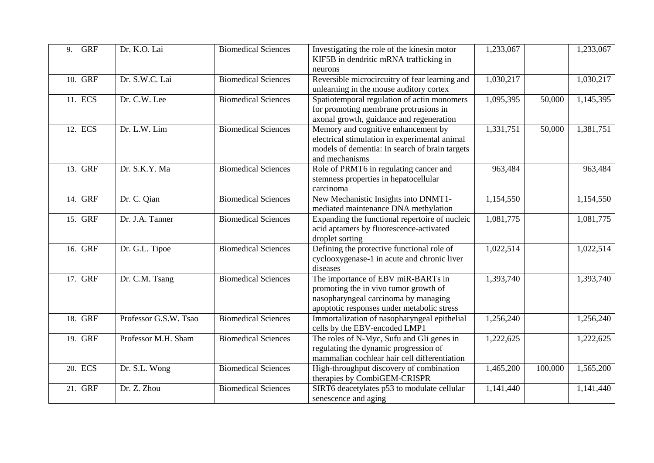| 9.  | <b>GRF</b>       | Dr. K.O. Lai          | <b>Biomedical Sciences</b> | Investigating the role of the kinesin motor<br>KIF5B in dendritic mRNA trafficking in<br>neurons                                                                  | 1,233,067 |         | 1,233,067 |
|-----|------------------|-----------------------|----------------------------|-------------------------------------------------------------------------------------------------------------------------------------------------------------------|-----------|---------|-----------|
| 10. | <b>GRF</b>       | Dr. S.W.C. Lai        | <b>Biomedical Sciences</b> | Reversible microcircuitry of fear learning and<br>unlearning in the mouse auditory cortex                                                                         | 1,030,217 |         | 1,030,217 |
| 11. | <b>ECS</b>       | Dr. C.W. Lee          | <b>Biomedical Sciences</b> | Spatiotemporal regulation of actin monomers<br>for promoting membrane protrusions in<br>axonal growth, guidance and regeneration                                  | 1,095,395 | 50,000  | 1,145,395 |
| 12. | <b>ECS</b>       | Dr. L.W. Lim          | <b>Biomedical Sciences</b> | Memory and cognitive enhancement by<br>electrical stimulation in experimental animal<br>models of dementia: In search of brain targets<br>and mechanisms          | 1,331,751 | 50,000  | 1,381,751 |
| 13. | <b>GRF</b>       | Dr. S.K.Y. Ma         | <b>Biomedical Sciences</b> | Role of PRMT6 in regulating cancer and<br>stemness properties in hepatocellular<br>carcinoma                                                                      | 963,484   |         | 963,484   |
| 14. | <b>GRF</b>       | Dr. C. Qian           | <b>Biomedical Sciences</b> | New Mechanistic Insights into DNMT1-<br>mediated maintenance DNA methylation                                                                                      | 1,154,550 |         | 1,154,550 |
| 15. | <b>GRF</b>       | Dr. J.A. Tanner       | <b>Biomedical Sciences</b> | Expanding the functional repertoire of nucleic<br>acid aptamers by fluorescence-activated<br>droplet sorting                                                      | 1,081,775 |         | 1,081,775 |
| 16. | <b>GRF</b>       | Dr. G.L. Tipoe        | <b>Biomedical Sciences</b> | Defining the protective functional role of<br>cyclooxygenase-1 in acute and chronic liver<br>diseases                                                             | 1,022,514 |         | 1,022,514 |
| 17. | <b>GRF</b>       | Dr. C.M. Tsang        | <b>Biomedical Sciences</b> | The importance of EBV miR-BARTs in<br>promoting the in vivo tumor growth of<br>nasopharyngeal carcinoma by managing<br>apoptotic responses under metabolic stress | 1,393,740 |         | 1,393,740 |
| 18. | $G\overline{RF}$ | Professor G.S.W. Tsao | <b>Biomedical Sciences</b> | Immortalization of nasopharyngeal epithelial<br>cells by the EBV-encoded LMP1                                                                                     | 1,256,240 |         | 1,256,240 |
| 19. | <b>GRF</b>       | Professor M.H. Sham   | <b>Biomedical Sciences</b> | The roles of N-Myc, Sufu and Gli genes in<br>regulating the dynamic progression of<br>mammalian cochlear hair cell differentiation                                | 1,222,625 |         | 1,222,625 |
| 20. | <b>ECS</b>       | Dr. S.L. Wong         | <b>Biomedical Sciences</b> | High-throughput discovery of combination<br>therapies by CombiGEM-CRISPR                                                                                          | 1,465,200 | 100,000 | 1,565,200 |
| 21. | <b>GRF</b>       | Dr. Z. Zhou           | <b>Biomedical Sciences</b> | SIRT6 deacetylates p53 to modulate cellular<br>senescence and aging                                                                                               | 1,141,440 |         | 1,141,440 |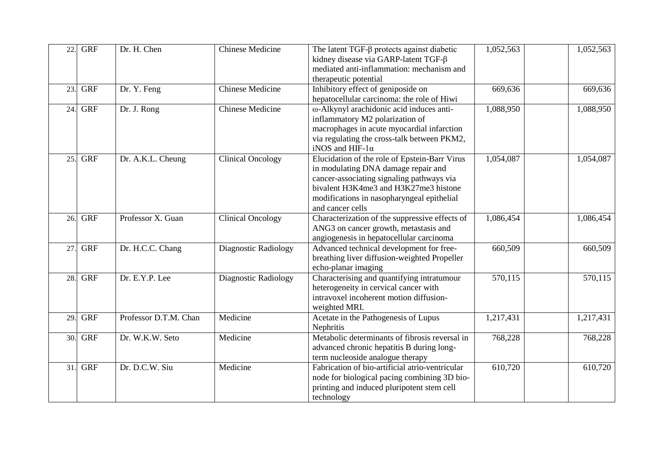| 22. | <b>GRF</b> | Dr. H. Chen           | <b>Chinese Medicine</b>  | The latent $TGF-\beta$ protects against diabetic | 1,052,563 | 1,052,563            |
|-----|------------|-----------------------|--------------------------|--------------------------------------------------|-----------|----------------------|
|     |            |                       |                          | kidney disease via GARP-latent TGF-β             |           |                      |
|     |            |                       |                          | mediated anti-inflammation: mechanism and        |           |                      |
|     |            |                       |                          | therapeutic potential                            |           |                      |
| 23. | <b>GRF</b> | Dr. Y. Feng           | <b>Chinese Medicine</b>  | Inhibitory effect of geniposide on               | 669,636   | 669,636              |
|     |            |                       |                          | hepatocellular carcinoma: the role of Hiwi       |           |                      |
| 24. | <b>GRF</b> | Dr. J. Rong           | <b>Chinese Medicine</b>  | ω-Alkynyl arachidonic acid induces anti-         | 1,088,950 | 1,088,950            |
|     |            |                       |                          | inflammatory M2 polarization of                  |           |                      |
|     |            |                       |                          | macrophages in acute myocardial infarction       |           |                      |
|     |            |                       |                          | via regulating the cross-talk between PKM2,      |           |                      |
|     |            |                       |                          | iNOS and HIF- $1\alpha$                          |           |                      |
| 25. | <b>GRF</b> | Dr. A.K.L. Cheung     | <b>Clinical Oncology</b> | Elucidation of the role of Epstein-Barr Virus    | 1,054,087 | 1,054,087            |
|     |            |                       |                          | in modulating DNA damage repair and              |           |                      |
|     |            |                       |                          | cancer-associating signaling pathways via        |           |                      |
|     |            |                       |                          | bivalent H3K4me3 and H3K27me3 histone            |           |                      |
|     |            |                       |                          | modifications in nasopharyngeal epithelial       |           |                      |
|     |            |                       |                          | and cancer cells                                 |           |                      |
| 26. | <b>GRF</b> | Professor X. Guan     | <b>Clinical Oncology</b> | Characterization of the suppressive effects of   | 1,086,454 | 1,086,454            |
|     |            |                       |                          | ANG3 on cancer growth, metastasis and            |           |                      |
|     |            |                       |                          | angiogenesis in hepatocellular carcinoma         |           |                      |
| 27. | <b>GRF</b> | Dr. H.C.C. Chang      | Diagnostic Radiology     | Advanced technical development for free-         | 660,509   | 660,509              |
|     |            |                       |                          | breathing liver diffusion-weighted Propeller     |           |                      |
|     |            |                       |                          | echo-planar imaging                              |           |                      |
| 28. | <b>GRF</b> | Dr. E.Y.P. Lee        | Diagnostic Radiology     | Characterising and quantifying intratumour       | 570,115   | $\overline{570,115}$ |
|     |            |                       |                          | heterogeneity in cervical cancer with            |           |                      |
|     |            |                       |                          | intravoxel incoherent motion diffusion-          |           |                      |
|     |            |                       |                          | weighted MRI.                                    |           |                      |
| 29. | <b>GRF</b> | Professor D.T.M. Chan | Medicine                 | Acetate in the Pathogenesis of Lupus             | 1,217,431 | 1,217,431            |
|     |            |                       |                          | Nephritis                                        |           |                      |
| 30. | <b>GRF</b> | Dr. W.K.W. Seto       | Medicine                 | Metabolic determinants of fibrosis reversal in   | 768,228   | 768,228              |
|     |            |                       |                          | advanced chronic hepatitis B during long-        |           |                      |
|     |            |                       |                          | term nucleoside analogue therapy                 |           |                      |
| 31. | <b>GRF</b> | Dr. D.C.W. Siu        | Medicine                 | Fabrication of bio-artificial atrio-ventricular  | 610,720   | 610,720              |
|     |            |                       |                          | node for biological pacing combining 3D bio-     |           |                      |
|     |            |                       |                          | printing and induced pluripotent stem cell       |           |                      |
|     |            |                       |                          | technology                                       |           |                      |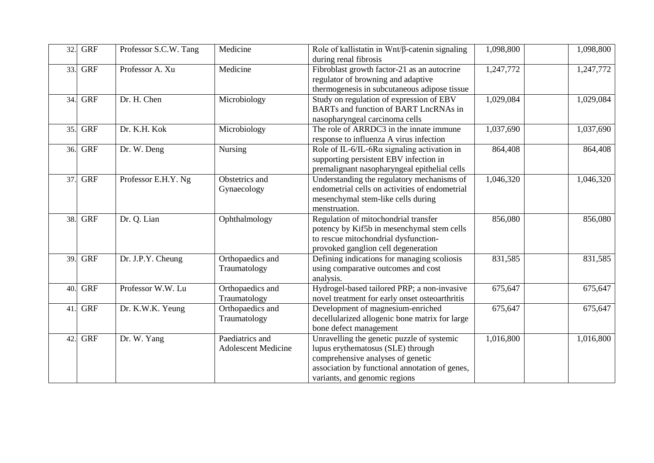| 32. | <b>GRF</b> | Professor S.C.W. Tang | Medicine                   | Role of kallistatin in $Wnt/\beta$ -catenin signaling<br>during renal fibrosis      | 1,098,800 | 1,098,800 |
|-----|------------|-----------------------|----------------------------|-------------------------------------------------------------------------------------|-----------|-----------|
| 33. | <b>GRF</b> | Professor A. Xu       | Medicine                   | Fibroblast growth factor-21 as an autocrine<br>regulator of browning and adaptive   | 1,247,772 | 1,247,772 |
|     |            |                       |                            | thermogenesis in subcutaneous adipose tissue                                        |           |           |
| 34. | <b>GRF</b> | Dr. H. Chen           | Microbiology               | Study on regulation of expression of EBV                                            | 1,029,084 | 1,029,084 |
|     |            |                       |                            | BARTs and function of BART LncRNAs in                                               |           |           |
|     |            |                       |                            | nasopharyngeal carcinoma cells                                                      |           |           |
| 35. | <b>GRF</b> | Dr. K.H. Kok          | Microbiology               | The role of ARRDC3 in the innate immune                                             | 1,037,690 | 1,037,690 |
|     |            |                       |                            | response to influenza A virus infection                                             |           |           |
| 36. | <b>GRF</b> | Dr. W. Deng           | Nursing                    | Role of IL-6/IL-6R $\alpha$ signaling activation in                                 | 864,408   | 864,408   |
|     |            |                       |                            | supporting persistent EBV infection in                                              |           |           |
|     |            |                       |                            | premalignant nasopharyngeal epithelial cells                                        |           |           |
| 37. | <b>GRF</b> | Professor E.H.Y. Ng   | Obstetrics and             | Understanding the regulatory mechanisms of                                          | 1,046,320 | 1,046,320 |
|     |            |                       | Gynaecology                | endometrial cells on activities of endometrial                                      |           |           |
|     |            |                       |                            | mesenchymal stem-like cells during                                                  |           |           |
|     |            |                       |                            | menstruation.                                                                       |           |           |
| 38. | <b>GRF</b> | Dr. Q. Lian           | Ophthalmology              | Regulation of mitochondrial transfer                                                | 856,080   | 856,080   |
|     |            |                       |                            | potency by Kif5b in mesenchymal stem cells                                          |           |           |
|     |            |                       |                            | to rescue mitochondrial dysfunction-                                                |           |           |
|     |            |                       |                            | provoked ganglion cell degeneration                                                 |           |           |
| 39. | <b>GRF</b> | Dr. J.P.Y. Cheung     | Orthopaedics and           | Defining indications for managing scoliosis                                         | 831,585   | 831,585   |
|     |            |                       | Traumatology               | using comparative outcomes and cost                                                 |           |           |
|     |            |                       |                            | analysis.                                                                           |           |           |
| 40. | <b>GRF</b> | Professor W.W. Lu     | Orthopaedics and           | Hydrogel-based tailored PRP; a non-invasive                                         | 675,647   | 675,647   |
|     |            |                       | Traumatology               | novel treatment for early onset osteoarthritis                                      |           |           |
| 41. | <b>GRF</b> | Dr. K.W.K. Yeung      | Orthopaedics and           | Development of magnesium-enriched                                                   | 675,647   | 675,647   |
|     |            |                       | Traumatology               | decellularized allogenic bone matrix for large<br>bone defect management            |           |           |
| 42. | <b>GRF</b> | Dr. W. Yang           | Paediatrics and            |                                                                                     | 1,016,800 | 1,016,800 |
|     |            |                       | <b>Adolescent Medicine</b> | Unravelling the genetic puzzle of systemic<br>lupus erythematosus (SLE) through     |           |           |
|     |            |                       |                            |                                                                                     |           |           |
|     |            |                       |                            | comprehensive analyses of genetic<br>association by functional annotation of genes, |           |           |
|     |            |                       |                            | variants, and genomic regions                                                       |           |           |
|     |            |                       |                            |                                                                                     |           |           |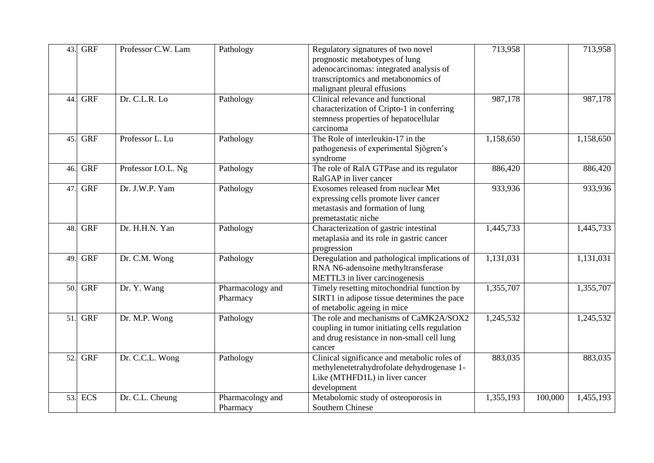| 43. | <b>GRF</b> | Professor C.W. Lam  | Pathology        | Regulatory signatures of two novel            | 713,958   |         | 713,958   |
|-----|------------|---------------------|------------------|-----------------------------------------------|-----------|---------|-----------|
|     |            |                     |                  | prognostic metabotypes of lung                |           |         |           |
|     |            |                     |                  | adenocarcinomas: integrated analysis of       |           |         |           |
|     |            |                     |                  | transcriptomics and metabonomics of           |           |         |           |
|     |            |                     |                  | malignant pleural effusions                   |           |         |           |
| 44. | <b>GRF</b> | Dr. C.L.R. Lo       | Pathology        | Clinical relevance and functional             | 987,178   |         | 987,178   |
|     |            |                     |                  | characterization of Cripto-1 in conferring    |           |         |           |
|     |            |                     |                  | stemness properties of hepatocellular         |           |         |           |
|     |            |                     |                  | carcinoma                                     |           |         |           |
| 45. | <b>GRF</b> | Professor L. Lu     | Pathology        | The Role of interleukin-17 in the             | 1,158,650 |         | 1,158,650 |
|     |            |                     |                  | pathogenesis of experimental Sjögren's        |           |         |           |
|     |            |                     |                  | syndrome                                      |           |         |           |
| 46. | <b>GRF</b> | Professor I.O.L. Ng | Pathology        | The role of RalA GTPase and its regulator     | 886,420   |         | 886,420   |
|     |            |                     |                  | RalGAP in liver cancer                        |           |         |           |
| 47. | <b>GRF</b> | Dr. J.W.P. Yam      | Pathology        | Exosomes released from nuclear Met            | 933,936   |         | 933,936   |
|     |            |                     |                  | expressing cells promote liver cancer         |           |         |           |
|     |            |                     |                  | metastasis and formation of lung              |           |         |           |
|     |            |                     |                  | premetastatic niche                           |           |         |           |
| 48. | <b>GRF</b> | Dr. H.H.N. Yan      | Pathology        | Characterization of gastric intestinal        | 1,445,733 |         | 1,445,733 |
|     |            |                     |                  | metaplasia and its role in gastric cancer     |           |         |           |
|     |            |                     |                  | progression                                   |           |         |           |
| 49. | <b>GRF</b> | Dr. C.M. Wong       | Pathology        | Deregulation and pathological implications of | 1,131,031 |         | 1,131,031 |
|     |            |                     |                  | RNA N6-adensoine methyltransferase            |           |         |           |
|     |            |                     |                  | METTL3 in liver carcinogenesis                |           |         |           |
| 50. | <b>GRF</b> | Dr. Y. Wang         | Pharmacology and | Timely resetting mitochondrial function by    | 1,355,707 |         | 1,355,707 |
|     |            |                     | Pharmacy         | SIRT1 in adipose tissue determines the pace   |           |         |           |
|     |            |                     |                  | of metabolic ageing in mice                   |           |         |           |
| 51. | <b>GRF</b> | Dr. M.P. Wong       | Pathology        | The role and mechanisms of CaMK2A/SOX2        | 1,245,532 |         | 1,245,532 |
|     |            |                     |                  | coupling in tumor initiating cells regulation |           |         |           |
|     |            |                     |                  | and drug resistance in non-small cell lung    |           |         |           |
|     |            |                     |                  | cancer                                        |           |         |           |
| 52. | <b>GRF</b> | Dr. C.C.L. Wong     | Pathology        | Clinical significance and metabolic roles of  | 883,035   |         | 883,035   |
|     |            |                     |                  | methylenetetrahydrofolate dehydrogenase 1-    |           |         |           |
|     |            |                     |                  | Like (MTHFD1L) in liver cancer                |           |         |           |
|     |            |                     |                  | development                                   |           |         |           |
| 53. | <b>ECS</b> | Dr. C.L. Cheung     | Pharmacology and | Metabolomic study of osteoporosis in          | 1,355,193 | 100,000 | 1,455,193 |
|     |            |                     | Pharmacy         | Southern Chinese                              |           |         |           |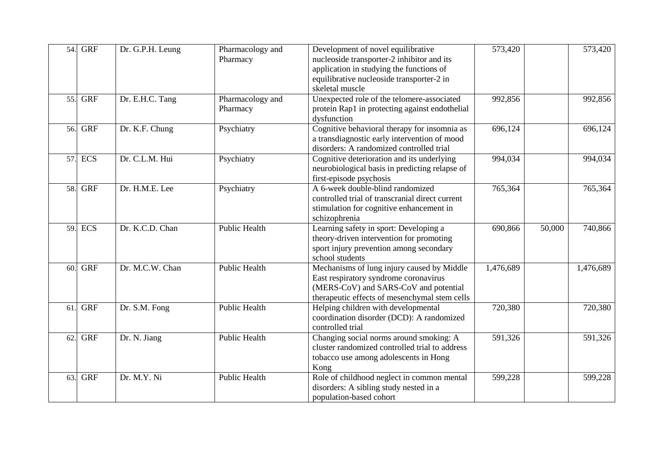| 54. | <b>GRF</b> | Dr. G.P.H. Leung | Pharmacology and     | Development of novel equilibrative              | 573,420   |        | 573,420   |
|-----|------------|------------------|----------------------|-------------------------------------------------|-----------|--------|-----------|
|     |            |                  | Pharmacy             | nucleoside transporter-2 inhibitor and its      |           |        |           |
|     |            |                  |                      | application in studying the functions of        |           |        |           |
|     |            |                  |                      | equilibrative nucleoside transporter-2 in       |           |        |           |
|     |            |                  |                      | skeletal muscle                                 |           |        |           |
| 55. | <b>GRF</b> | Dr. E.H.C. Tang  | Pharmacology and     | Unexpected role of the telomere-associated      | 992,856   |        | 992,856   |
|     |            |                  | Pharmacy             | protein Rap1 in protecting against endothelial  |           |        |           |
|     |            |                  |                      | dysfunction                                     |           |        |           |
| 56. | <b>GRF</b> | Dr. K.F. Chung   | Psychiatry           | Cognitive behavioral therapy for insomnia as    | 696,124   |        | 696,124   |
|     |            |                  |                      | a transdiagnostic early intervention of mood    |           |        |           |
|     |            |                  |                      | disorders: A randomized controlled trial        |           |        |           |
|     | 57. ECS    | Dr. C.L.M. Hui   | Psychiatry           | Cognitive deterioration and its underlying      | 994,034   |        | 994,034   |
|     |            |                  |                      | neurobiological basis in predicting relapse of  |           |        |           |
|     |            |                  |                      | first-episode psychosis                         |           |        |           |
| 58. | <b>GRF</b> | Dr. H.M.E. Lee   | Psychiatry           | A 6-week double-blind randomized                | 765,364   |        | 765,364   |
|     |            |                  |                      | controlled trial of transcranial direct current |           |        |           |
|     |            |                  |                      | stimulation for cognitive enhancement in        |           |        |           |
|     |            |                  |                      | schizophrenia                                   |           |        |           |
| 59. | <b>ECS</b> | Dr. K.C.D. Chan  | <b>Public Health</b> | Learning safety in sport: Developing a          | 690,866   | 50,000 | 740,866   |
|     |            |                  |                      | theory-driven intervention for promoting        |           |        |           |
|     |            |                  |                      | sport injury prevention among secondary         |           |        |           |
|     |            |                  |                      | school students                                 |           |        |           |
| 60. | <b>GRF</b> | Dr. M.C.W. Chan  | <b>Public Health</b> | Mechanisms of lung injury caused by Middle      | 1,476,689 |        | 1,476,689 |
|     |            |                  |                      | East respiratory syndrome coronavirus           |           |        |           |
|     |            |                  |                      | (MERS-CoV) and SARS-CoV and potential           |           |        |           |
|     |            |                  |                      | therapeutic effects of mesenchymal stem cells   |           |        |           |
| 61. | <b>GRF</b> | Dr. S.M. Fong    | <b>Public Health</b> | Helping children with developmental             | 720,380   |        | 720,380   |
|     |            |                  |                      | coordination disorder (DCD): A randomized       |           |        |           |
|     |            |                  |                      | controlled trial                                |           |        |           |
| 62. | <b>GRF</b> | Dr. N. Jiang     | <b>Public Health</b> | Changing social norms around smoking: A         | 591,326   |        | 591,326   |
|     |            |                  |                      | cluster randomized controlled trial to address  |           |        |           |
|     |            |                  |                      | tobacco use among adolescents in Hong           |           |        |           |
|     |            |                  |                      | Kong                                            |           |        |           |
| 63. | <b>GRF</b> | Dr. M.Y. Ni      | Public Health        | Role of childhood neglect in common mental      | 599,228   |        | 599,228   |
|     |            |                  |                      | disorders: A sibling study nested in a          |           |        |           |
|     |            |                  |                      | population-based cohort                         |           |        |           |